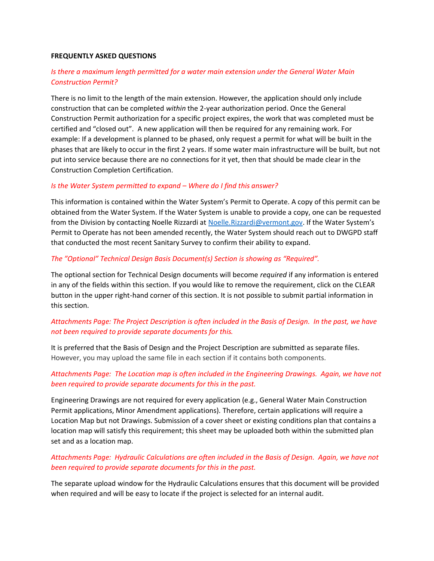#### **FREQUENTLY ASKED QUESTIONS**

### *Is there a maximum length permitted for a water main extension under the General Water Main Construction Permit?*

There is no limit to the length of the main extension. However, the application should only include construction that can be completed *within* the 2-year authorization period. Once the General Construction Permit authorization for a specific project expires, the work that was completed must be certified and "closed out". A new application will then be required for any remaining work. For example: If a development is planned to be phased, only request a permit for what will be built in the phases that are likely to occur in the first 2 years. If some water main infrastructure will be built, but not put into service because there are no connections for it yet, then that should be made clear in the Construction Completion Certification.

#### *Is the Water System permitted to expand – Where do I find this answer?*

This information is contained within the Water System's Permit to Operate. A copy of this permit can be obtained from the Water System. If the Water System is unable to provide a copy, one can be requested from the Division by contacting Noelle Rizzardi at [Noelle.Rizzardi@vermont.gov](mailto:Noelle.Rizzardi@vermont.gov). If the Water System's Permit to Operate has not been amended recently, the Water System should reach out to DWGPD staff that conducted the most recent Sanitary Survey to confirm their ability to expand.

#### *The "Optional" Technical Design Basis Document(s) Section is showing as "Required".*

The optional section for Technical Design documents will become *required* if any information is entered in any of the fields within this section. If you would like to remove the requirement, click on the CLEAR button in the upper right-hand corner of this section. It is not possible to submit partial information in this section.

# *Attachments Page: The Project Description is often included in the Basis of Design. In the past, we have not been required to provide separate documents for this.*

It is preferred that the Basis of Design and the Project Description are submitted as separate files. However, you may upload the same file in each section if it contains both components.

# *Attachments Page: The Location map is often included in the Engineering Drawings. Again, we have not been required to provide separate documents for this in the past.*

Engineering Drawings are not required for every application (e.g., General Water Main Construction Permit applications, Minor Amendment applications). Therefore, certain applications will require a Location Map but not Drawings. Submission of a cover sheet or existing conditions plan that contains a location map will satisfy this requirement; this sheet may be uploaded both within the submitted plan set and as a location map.

# *Attachments Page: Hydraulic Calculations are often included in the Basis of Design. Again, we have not been required to provide separate documents for this in the past.*

The separate upload window for the Hydraulic Calculations ensures that this document will be provided when required and will be easy to locate if the project is selected for an internal audit.